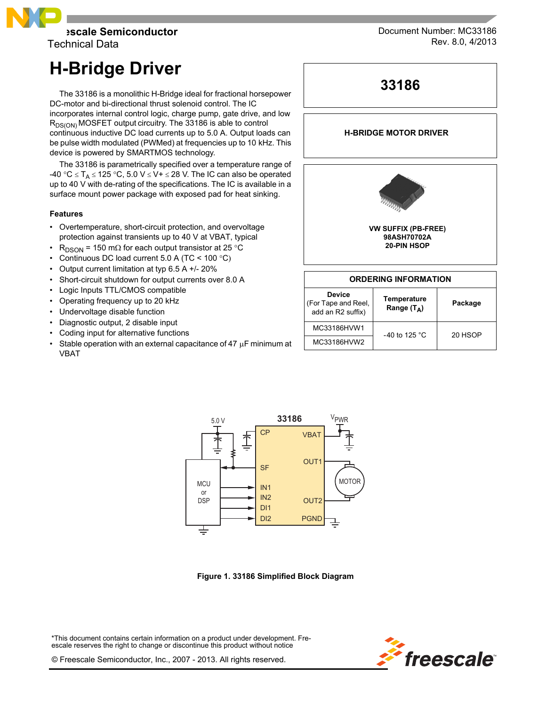

Technical Data

# **H-Bridge Driver**

The 33186 is a monolithic H-Bridge ideal for fractional horsepower DC-motor and bi-directional thrust solenoid control. The IC incorporates internal control logic, charge pump, gate drive, and low  $R_{DS(ON)}$  MOSFET output circuitry. The 33186 is able to control continuous inductive DC load currents up to 5.0 A. Output loads can be pulse width modulated (PWMed) at frequencies up to 10 kHz. This device is powered by SMARTMOS technology.

The 33186 is parametrically specified over a temperature range of -40 °C  $\leq$  T<sub>A</sub>  $\leq$  125 °C, 5.0 V  $\leq$  V+  $\leq$  28 V. The IC can also be operated up to 40 V with de-rating of the specifications. The IC is available in a surface mount power package with exposed pad for heat sinking.

## **Features**

- Overtemperature, short-circuit protection, and overvoltage protection against transients up to 40 V at VBAT, typical
- R<sub>DSON</sub> = 150 m $\Omega$  for each output transistor at 25 °C
- Continuous DC load current 5.0 A (TC <  $100 °C$ )
- Output current limitation at typ 6.5 A +/- 20%
- Short-circuit shutdown for output currents over 8.0 A
- Logic Inputs TTL/CMOS compatible
- Operating frequency up to 20 kHz
- Undervoltage disable function
- Diagnostic output, 2 disable input
- Coding input for alternative functions
- Stable operation with an external capacitance of 47  $\mu$ F minimum at VBAT



# **H-BRIDGE MOTOR DRIVER**



## **ORDERING INFORMATION**

| <b>Device</b><br>(For Tape and Reel,<br>add an R2 suffix) | Temperature<br>Range $(T_A)$ | Package |
|-----------------------------------------------------------|------------------------------|---------|
| MC33186HVW1                                               | -40 to 125 $^{\circ}$ C      | 20 HSOP |
| MC33186HVW2                                               |                              |         |



 **Figure 1. 33186 Simplified Block Diagram**

\*This document contains certain information on a product under development. Freescale reserves the right to change or discontinue this product without notice



© Freescale Semiconductor, Inc., 2007 - 2013. All rights reserved.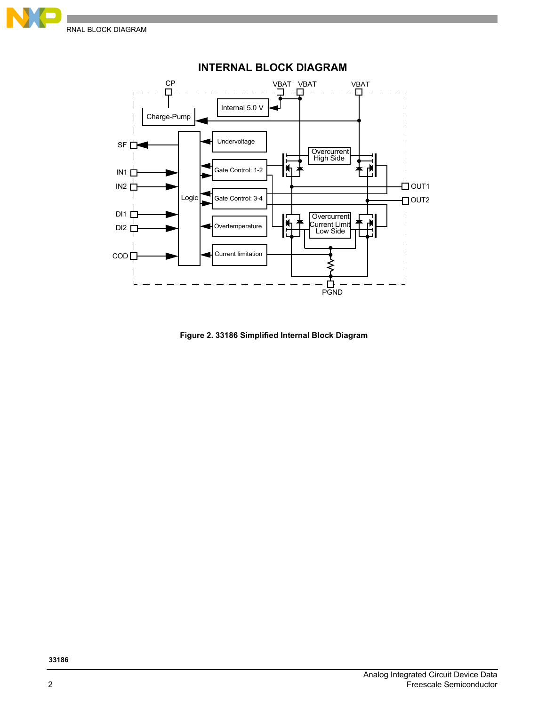



 **Figure 2. 33186 Simplified Internal Block Diagram**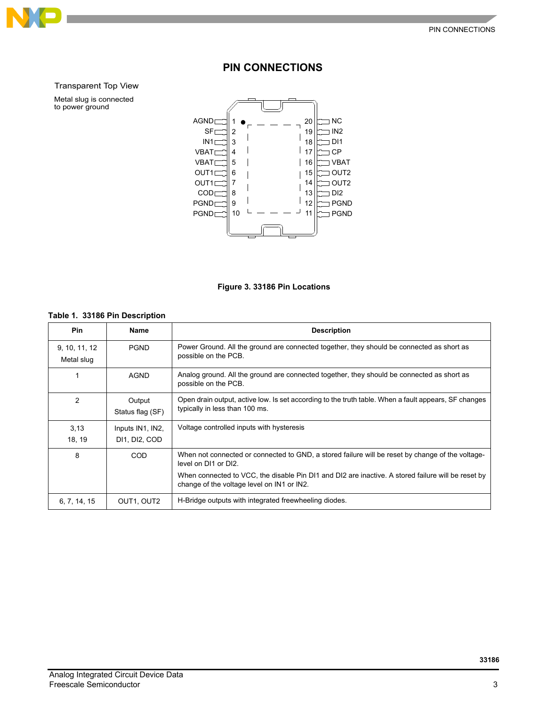

# **PIN CONNECTIONS**

Transparent Top View

Metal slug is connected to power ground





# <span id="page-2-0"></span>**Table 1. 33186 Pin Description**

| <b>Pin</b>                  | Name                              | <b>Description</b>                                                                                                                               |
|-----------------------------|-----------------------------------|--------------------------------------------------------------------------------------------------------------------------------------------------|
| 9, 10, 11, 12<br>Metal slug | <b>PGND</b>                       | Power Ground. All the ground are connected together, they should be connected as short as<br>possible on the PCB.                                |
|                             | <b>AGND</b>                       | Analog ground. All the ground are connected together, they should be connected as short as<br>possible on the PCB.                               |
| 2                           | Output<br>Status flag (SF)        | Open drain output, active low. Is set according to the truth table. When a fault appears, SF changes<br>typically in less than 100 ms.           |
| 3,13<br>18, 19              | Inputs IN1, IN2,<br>DI1, DI2, COD | Voltage controlled inputs with hysteresis                                                                                                        |
| 8                           | COD                               | When not connected or connected to GND, a stored failure will be reset by change of the voltage-<br>level on DI1 or DI2.                         |
|                             |                                   | When connected to VCC, the disable Pin DI1 and DI2 are inactive. A stored failure will be reset by<br>change of the voltage level on IN1 or IN2. |
| 6, 7, 14, 15                | OUT1, OUT2                        | H-Bridge outputs with integrated freewheeling diodes.                                                                                            |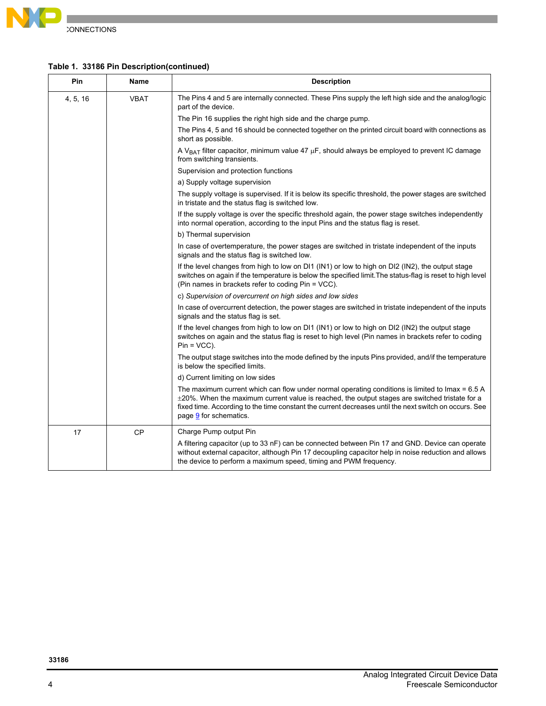

# **Table 1. 33186 Pin Description(continued)**

| Pin      | <b>Name</b> | <b>Description</b>                                                                                                                                                                                                                                                                                                                          |
|----------|-------------|---------------------------------------------------------------------------------------------------------------------------------------------------------------------------------------------------------------------------------------------------------------------------------------------------------------------------------------------|
| 4, 5, 16 | VBAT        | The Pins 4 and 5 are internally connected. These Pins supply the left high side and the analog/logic<br>part of the device.                                                                                                                                                                                                                 |
|          |             | The Pin 16 supplies the right high side and the charge pump.                                                                                                                                                                                                                                                                                |
|          |             | The Pins 4, 5 and 16 should be connected together on the printed circuit board with connections as<br>short as possible.                                                                                                                                                                                                                    |
|          |             | A V <sub>BAT</sub> filter capacitor, minimum value 47 $\mu$ F, should always be employed to prevent IC damage<br>from switching transients.                                                                                                                                                                                                 |
|          |             | Supervision and protection functions                                                                                                                                                                                                                                                                                                        |
|          |             | a) Supply voltage supervision                                                                                                                                                                                                                                                                                                               |
|          |             | The supply voltage is supervised. If it is below its specific threshold, the power stages are switched<br>in tristate and the status flag is switched low.                                                                                                                                                                                  |
|          |             | If the supply voltage is over the specific threshold again, the power stage switches independently<br>into normal operation, according to the input Pins and the status flag is reset.                                                                                                                                                      |
|          |             | b) Thermal supervision                                                                                                                                                                                                                                                                                                                      |
|          |             | In case of overtemperature, the power stages are switched in tristate independent of the inputs<br>signals and the status flag is switched low.                                                                                                                                                                                             |
|          |             | If the level changes from high to low on DI1 (IN1) or low to high on DI2 (IN2), the output stage<br>switches on again if the temperature is below the specified limit. The status-flag is reset to high level<br>(Pin names in brackets refer to coding Pin = VCC).                                                                         |
|          |             | c) Supervision of overcurrent on high sides and low sides                                                                                                                                                                                                                                                                                   |
|          |             | In case of overcurrent detection, the power stages are switched in tristate independent of the inputs<br>signals and the status flag is set.                                                                                                                                                                                                |
|          |             | If the level changes from high to low on DI1 (IN1) or low to high on DI2 (IN2) the output stage<br>switches on again and the status flag is reset to high level (Pin names in brackets refer to coding<br>$Pin = VCC$ ).                                                                                                                    |
|          |             | The output stage switches into the mode defined by the inputs Pins provided, and/if the temperature<br>is below the specified limits.                                                                                                                                                                                                       |
|          |             | d) Current limiting on low sides                                                                                                                                                                                                                                                                                                            |
|          |             | The maximum current which can flow under normal operating conditions is limited to $lmax = 6.5 A$<br>$\pm$ 20%. When the maximum current value is reached, the output stages are switched tristate for a<br>fixed time. According to the time constant the current decreases until the next switch on occurs. See<br>page 9 for schematics. |
| 17       | CP          | Charge Pump output Pin                                                                                                                                                                                                                                                                                                                      |
|          |             | A filtering capacitor (up to 33 nF) can be connected between Pin 17 and GND. Device can operate<br>without external capacitor, although Pin 17 decoupling capacitor help in noise reduction and allows<br>the device to perform a maximum speed, timing and PWM frequency.                                                                  |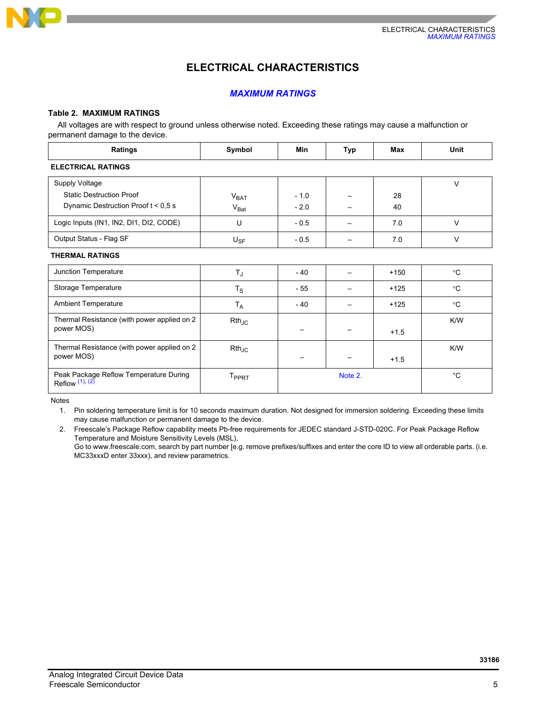

# **ELECTRICAL CHARACTERISTICS**

# *MAXIMUM RATINGS*

# <span id="page-4-2"></span>**Table 2. MAXIMUM RATINGS**

All voltages are with respect to ground unless otherwise noted. Exceeding these ratings may cause a malfunction or permanent damage to the device.

| Ratings                                                   | Symbol            | Min             | Typ     | Max    | Unit        |
|-----------------------------------------------------------|-------------------|-----------------|---------|--------|-------------|
| <b>ELECTRICAL RATINGS</b>                                 |                   |                 |         |        |             |
| Supply Voltage                                            |                   |                 |         |        | $\vee$      |
| <b>Static Destruction Proof</b>                           | V <sub>BAT</sub>  | $-1.0$          |         | 28     |             |
| Dynamic Destruction Proof $t < 0.5$ s                     | $V_{\text{Bat}}$  | $-2.0$          |         | 40     |             |
| Logic Inputs (IN1, IN2, DI1, DI2, CODE)                   | U                 | $-0.5$          |         | 7.0    | $\vee$      |
| Output Status - Flag SF                                   | $U_{SF}$          | $-0.5$          |         | 7.0    | $\vee$      |
| <b>THERMAL RATINGS</b>                                    |                   |                 |         |        |             |
| Junction Temperature                                      | $T_{J}$           | $-40$           |         | $+150$ | $^{\circ}C$ |
| Storage Temperature                                       | $T_S$             | - 55            |         | $+125$ | $^{\circ}C$ |
| <b>Ambient Temperature</b>                                | $T_A$             | $-40$           |         | $+125$ | $^{\circ}C$ |
| Thermal Resistance (with power applied on 2               | $Rth_{JC}$        |                 |         |        | K/W         |
| power MOS)                                                |                   | $\qquad \qquad$ |         | $+1.5$ |             |
| Thermal Resistance (with power applied on 2               | $Rth_{JC}$        |                 |         |        | K/W         |
| power MOS)                                                |                   |                 |         | $+1.5$ |             |
| Peak Package Reflow Temperature During<br>Reflow (1), (2) | T <sub>PPRT</sub> |                 | Note 2. |        | $^{\circ}C$ |

<span id="page-4-1"></span>Notes

1. Pin soldering temperature limit is for 10 seconds maximum duration. Not designed for immersion soldering. Exceeding these limits may cause malfunction or permanent damage to the device.

<span id="page-4-0"></span>2. [Freescale's Package Reflow capability meets Pb-free requirements for JEDEC standard J-STD-020C. For Peak Package Reflow](http://www.freescale.com)  Temperature and Moisture Sensitivity Levels (MSL),

[Go to www.freescale.com, search by part number \[e.g. remove prefixes/suffixes and enter the core ID to view all orderable parts. \(i.e.](http://www.freescale.com)  MC33xxxD enter 33xxx), and review parametrics.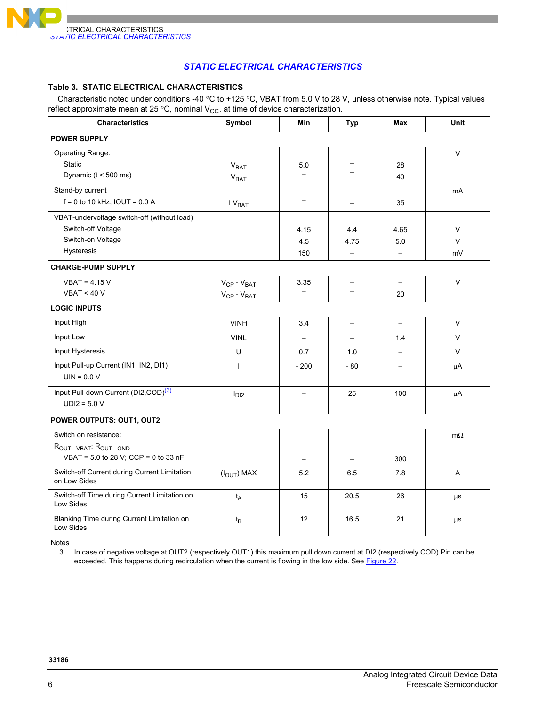

# *STATIC ELECTRICAL CHARACTERISTICS*

#### **Table 3. STATIC ELECTRICAL CHARACTERISTICS**

Characteristic noted under conditions -40 °C to +125 °C, VBAT from 5.0 V to 28 V, unless otherwise note. Typical values reflect approximate mean at 25 °C, nominal  $V_{CC}$ , at time of device characterization.

| <b>Characteristics</b>                                       | Symbol                 | Min                      | <b>Typ</b>               | Max                      | Unit           |
|--------------------------------------------------------------|------------------------|--------------------------|--------------------------|--------------------------|----------------|
| <b>POWER SUPPLY</b>                                          |                        |                          |                          |                          |                |
| Operating Range:                                             |                        |                          |                          |                          | $\vee$         |
| <b>Static</b>                                                | V <sub>BAT</sub>       | 5.0                      |                          | 28                       |                |
| Dynamic ( $t < 500$ ms)                                      | <b>V<sub>BAT</sub></b> | $\overline{\phantom{0}}$ |                          | 40                       |                |
| Stand-by current                                             |                        |                          |                          |                          | mA             |
| $f = 0$ to 10 kHz; IOUT = 0.0 A                              | $IV_{BAT}$             | $\overline{\phantom{0}}$ |                          | 35                       |                |
| VBAT-undervoltage switch-off (without load)                  |                        |                          |                          |                          |                |
| Switch-off Voltage                                           |                        | 4.15                     | 4.4                      | 4.65                     | $\vee$         |
| Switch-on Voltage                                            |                        | 4.5                      | 4.75                     | 5.0                      | $\vee$         |
| Hysteresis                                                   |                        | 150                      |                          | $\overline{\phantom{0}}$ | mV             |
| <b>CHARGE-PUMP SUPPLY</b>                                    |                        |                          |                          |                          |                |
| $VBAT = 4.15 V$                                              | $V_{CP} - V_{BAT}$     | 3.35                     | $\overline{\phantom{0}}$ | $\equiv$                 | V              |
| VBAT < 40 V                                                  | $V_{CP} - V_{BAT}$     |                          |                          | 20                       |                |
| <b>LOGIC INPUTS</b>                                          |                        |                          |                          |                          |                |
| Input High                                                   | <b>VINH</b>            | 3.4                      | $\overline{\phantom{0}}$ | $\equiv$                 | V              |
| Input Low                                                    | <b>VINL</b>            | $\overline{\phantom{0}}$ | $\overline{\phantom{0}}$ | 1.4                      | $\mathsf{V}$   |
| Input Hysteresis                                             | U                      | 0.7                      | 1.0                      |                          | $\vee$         |
| Input Pull-up Current (IN1, IN2, DI1)                        | $\mathbf{I}$           | $-200$                   | $-80$                    | $\overline{\phantom{0}}$ | μA             |
| $UIN = 0.0 V$                                                |                        |                          |                          |                          |                |
| Input Pull-down Current (DI2,COD) <sup>(3)</sup>             | I <sub>D12</sub>       | $\qquad \qquad -$        | 25                       | 100                      | $\mu$ A        |
| $UDI2 = 5.0 V$                                               |                        |                          |                          |                          |                |
| POWER OUTPUTS: OUT1, OUT2                                    |                        |                          |                          |                          |                |
| Switch on resistance:                                        |                        |                          |                          |                          | $m\Omega$      |
| ROUT - VBAT; ROUT - GND                                      |                        |                          |                          |                          |                |
| VBAT = 5.0 to 28 V; CCP = 0 to 33 nF                         |                        |                          |                          | 300                      |                |
| Switch-off Current during Current Limitation<br>on Low Sides | $(IOUT)$ MAX           | 5.2                      | 6.5                      | 7.8                      | $\overline{A}$ |
| Switch-off Time during Current Limitation on<br>Low Sides    | $t_A$                  | 15                       | 20.5                     | 26                       | $\mu$ s        |
| Blanking Time during Current Limitation on<br>Low Sides      | $t_{B}$                | 12                       | 16.5                     | 21                       | $\mu$ S        |

<span id="page-5-0"></span>Notes

3. In case of negative voltage at OUT2 (respectively OUT1) this maximum pull down current at DI2 (respectively COD) Pin can be exceeded. This happens during recirculation when the current is flowing in the low side. See [Figure](#page-13-0) 22.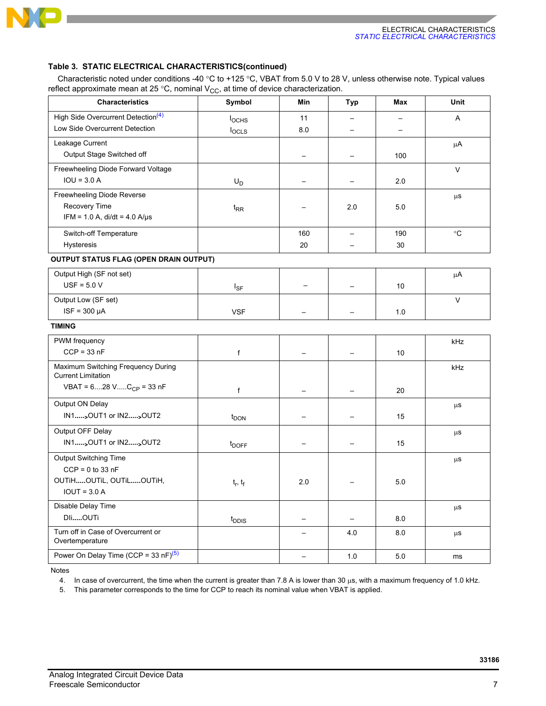

### **Table 3. STATIC ELECTRICAL CHARACTERISTICS(continued)**

Characteristic noted under conditions -40 °C to +125 °C, VBAT from 5.0 V to 28 V, unless otherwise note. Typical values reflect approximate mean at 25 °C, nominal  $V_{CC}$ , at time of device characterization.

| <b>Characteristics</b>                                          | Symbol            | Min               | <b>Typ</b>               | Max                              | Unit            |
|-----------------------------------------------------------------|-------------------|-------------------|--------------------------|----------------------------------|-----------------|
| High Side Overcurrent Detection <sup>(4)</sup>                  | <b>l</b> ochs     | 11                | —                        | $\overbrace{\phantom{12322111}}$ | A               |
| Low Side Overcurrent Detection                                  | locLS             | 8.0               |                          |                                  |                 |
| Leakage Current                                                 |                   |                   |                          |                                  | $\mu$ A         |
| Output Stage Switched off                                       |                   |                   | —                        | 100                              |                 |
| Freewheeling Diode Forward Voltage                              |                   |                   |                          |                                  | $\vee$          |
| $IOU = 3.0 A$                                                   | $U_D$             |                   | —                        | 2.0                              |                 |
| Freewheeling Diode Reverse                                      |                   |                   |                          |                                  | $\mu$ S         |
| Recovery Time                                                   | $t_{RR}$          |                   | 2.0                      | 5.0                              |                 |
| $IFM = 1.0 A$ , di/dt = 4.0 A/µs                                |                   |                   |                          |                                  |                 |
| Switch-off Temperature                                          |                   | 160               | $\overline{\phantom{0}}$ | 190                              | $\rm ^{\circ}C$ |
| Hysteresis                                                      |                   | 20                |                          | 30                               |                 |
| OUTPUT STATUS FLAG (OPEN DRAIN OUTPUT)                          |                   |                   |                          |                                  |                 |
| Output High (SF not set)                                        |                   |                   |                          |                                  | μA              |
| $USF = 5.0 V$                                                   | $I_{SF}$          |                   |                          | 10                               |                 |
| Output Low (SF set)                                             |                   |                   |                          |                                  | $\vee$          |
| $ISF = 300 \mu A$                                               | <b>VSF</b>        |                   | —                        | 1.0                              |                 |
| <b>TIMING</b>                                                   |                   |                   |                          |                                  |                 |
| PWM frequency                                                   |                   |                   |                          |                                  | kHz             |
| $CCP = 33 nF$                                                   | f                 |                   |                          | 10                               |                 |
| Maximum Switching Frequency During<br><b>Current Limitation</b> |                   |                   |                          |                                  | kHz             |
| VBAT = $628$ V $C_{CP}$ = 33 nF                                 | f                 |                   |                          | 20                               |                 |
| Output ON Delay                                                 |                   |                   |                          |                                  | $\mu$ S         |
| IN1 <sub>&gt;</sub> OUT1 or IN2 <sub>&gt;</sub> OUT2            | t <sub>DON</sub>  |                   |                          | 15                               |                 |
| Output OFF Delay                                                |                   |                   |                          |                                  | $\mu$ S         |
| IN1 <sub>&gt;</sub> OUT1 or IN2 <sub>&gt;</sub> OUT2            | t <sub>DOFF</sub> |                   |                          | 15                               |                 |
| Output Switching Time                                           |                   |                   |                          |                                  | $\mu$ S         |
| $CCP = 0$ to 33 nF                                              |                   |                   |                          |                                  |                 |
| OUTIHOUTIL, OUTILOUTIH,                                         | $t_r$ , $t_f$     | 2.0               |                          | 5.0                              |                 |
| $IOUT = 3.0 A$                                                  |                   |                   |                          |                                  |                 |
| Disable Delay Time                                              |                   |                   |                          |                                  | $\mu$ S         |
| DliOUTi                                                         | $t_{\text{DDIS}}$ |                   | —                        | 8.0                              |                 |
| Turn off in Case of Overcurrent or<br>Overtemperature           |                   |                   | 4.0                      | 8.0                              | μS              |
| Power On Delay Time (CCP = 33 nF) <sup>(5)</sup>                |                   | $\qquad \qquad -$ | 1.0                      | 5.0                              | ms              |

Notes

<span id="page-6-0"></span>4. In case of overcurrent, the time when the current is greater than 7.8 A is lower than 30  $\mu$ s, with a maximum frequency of 1.0 kHz.

<span id="page-6-1"></span>5. This parameter corresponds to the time for CCP to reach its nominal value when VBAT is applied.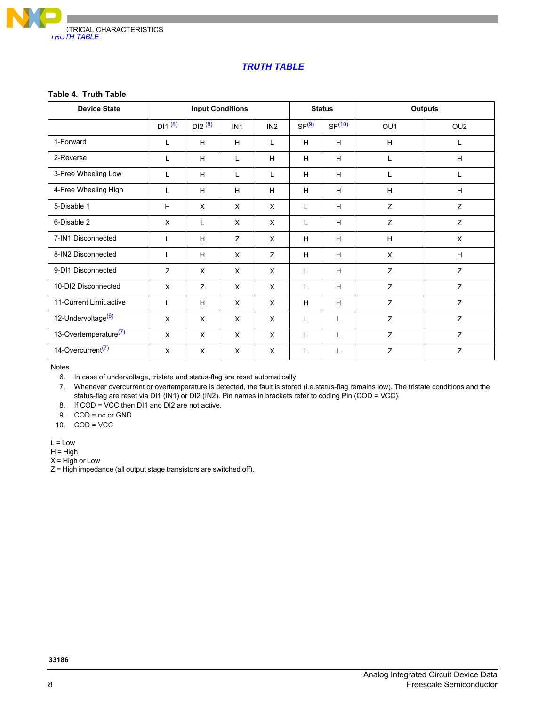

# *TRUTH TABLE*

### **Table 4. Truth Table**

| <b>Device State</b>               |             | <b>Input Conditions</b> |                 |                 |                   | <b>Status</b>      |                 | <b>Outputs</b>  |
|-----------------------------------|-------------|-------------------------|-----------------|-----------------|-------------------|--------------------|-----------------|-----------------|
|                                   | $DI1^{(8)}$ | DI2 <sup>(8)</sup>      | IN <sub>1</sub> | IN <sub>2</sub> | SF <sup>(9)</sup> | SF <sup>(10)</sup> | OU <sub>1</sub> | OU <sub>2</sub> |
| 1-Forward                         | L           | H                       | H               | L               | H                 | H                  | H               | L               |
| 2-Reverse                         | L           | H                       | L               | H               | H                 | H                  | L               | H               |
| 3-Free Wheeling Low               | L           | H                       | L               | L               | H                 | H                  |                 | L               |
| 4-Free Wheeling High              | L           | H                       | H               | H               | H                 | H                  | H               | H               |
| 5-Disable 1                       | H           | X                       | $\times$        | X               | L                 | H                  | Z               | Z               |
| 6-Disable 2                       | X           | L                       | X               | X               | L                 | H                  | Z               | Z               |
| 7-IN1 Disconnected                | L           | H                       | Z               | X               | H                 | H                  | H               | X               |
| 8-IN2 Disconnected                | L           | H                       | $\sf X$         | Z               | H                 | H                  | X               | H               |
| 9-DI1 Disconnected                | Z           | $\times$                | $\times$        | X               | L                 | H                  | Z               | Z               |
| 10-DI2 Disconnected               | X           | Z                       | $\times$        | X               | L                 | H                  | Z               | Z               |
| 11-Current Limit.active           | L           | H                       | $\times$        | X               | H                 | H                  | Z               | Z               |
| 12-Undervoltage <sup>(6)</sup>    | X           | $\times$                | $\times$        | X               | L                 | L                  | Z               | Z               |
| 13-Overtemperature <sup>(7)</sup> | X           | X                       | $\times$        | X               | L                 | L                  | Z               | Z               |
| 14-Overcurrent <sup>(7)</sup>     | X           | X                       | X               | X               | L                 | L                  | Z               | Z               |

Notes

<span id="page-7-1"></span>6. In case of undervoltage, tristate and status-flag are reset automatically.

<span id="page-7-2"></span>7. Whenever overcurrent or overtemperature is detected, the fault is stored (i.e.status-flag remains low). The tristate conditions and the status-flag are reset via DI1 (IN1) or DI2 (IN2). Pin names in brackets refer to coding Pin (COD = VCC).

<span id="page-7-0"></span>8. If COD = VCC then DI1 and DI2 are not active.

<span id="page-7-3"></span>9. COD = nc or GND

<span id="page-7-4"></span>10. COD = VCC

 $L = Low$ 

 $H = H$ igh

 $X = High or Low$ 

Z = High impedance (all output stage transistors are switched off).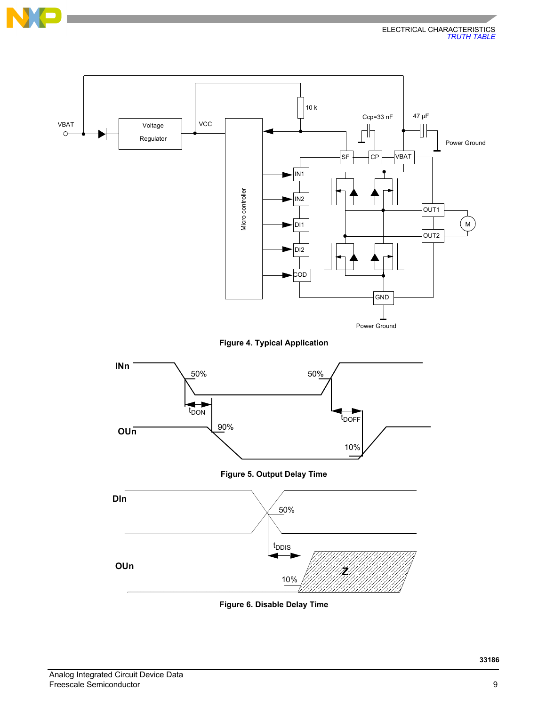

<span id="page-8-0"></span>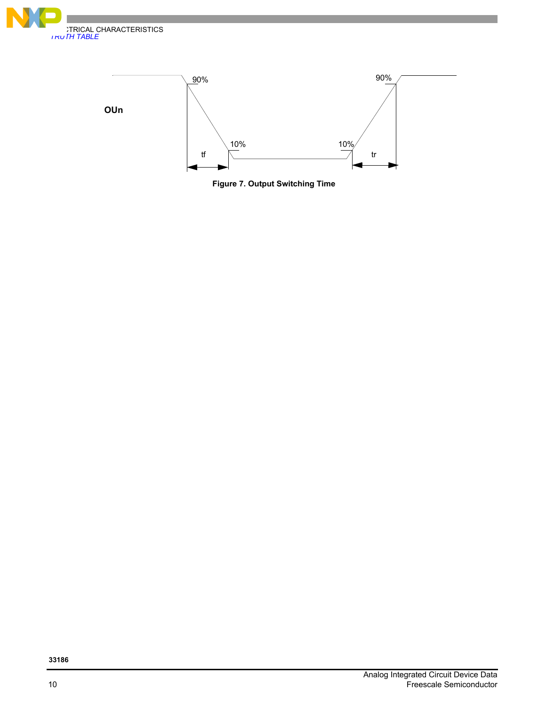



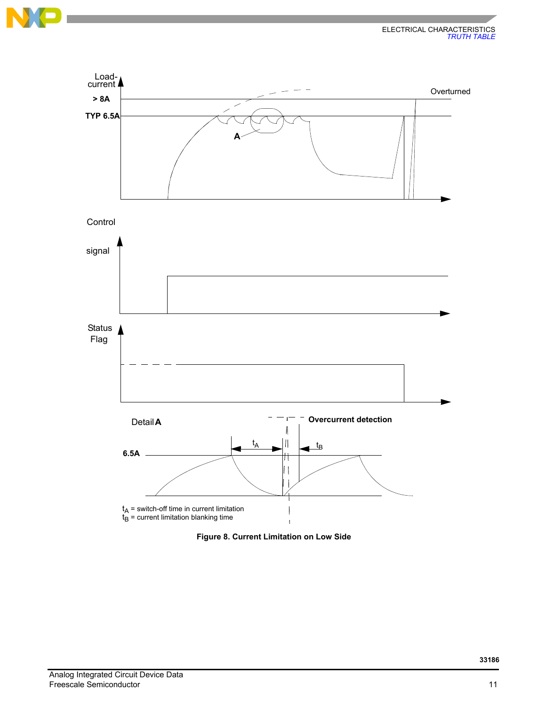



 **Figure 8. Current Limitation on Low Side**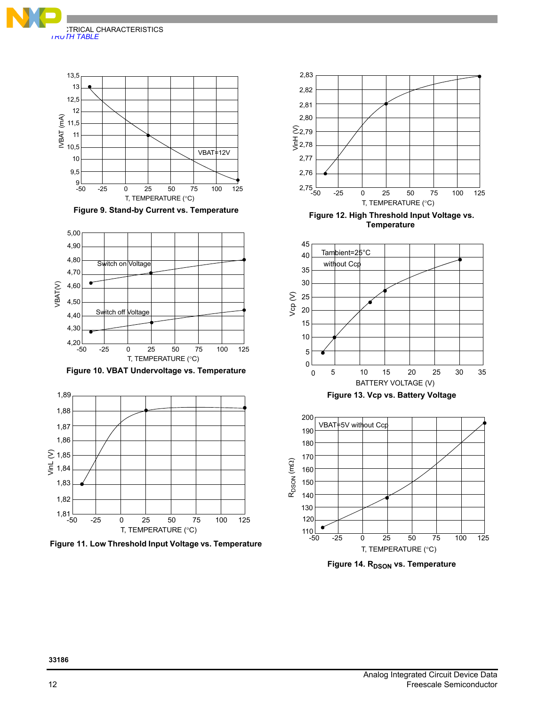



 **Figure 9. Stand-by Current vs. Temperature**



 **Figure 10. VBAT Undervoltage vs. Temperature**



 **Figure 11. Low Threshold Input Voltage vs. Temperature**



 **Figure 12. High Threshold Input Voltage vs. Temperature**



**Figure 14. RDSON vs. Temperature**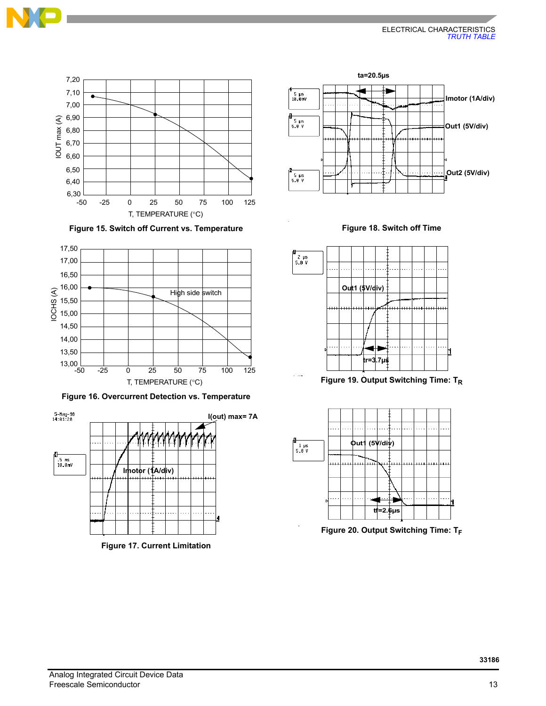





 **Figure 16. Overcurrent Detection vs. Temperature**



 **Figure 17. Current Limitation**



 **Figure 18. Switch off Time**



 **Figure 19. Output Switching Time: TR**



**Figure 20. Output Switching Time: TF**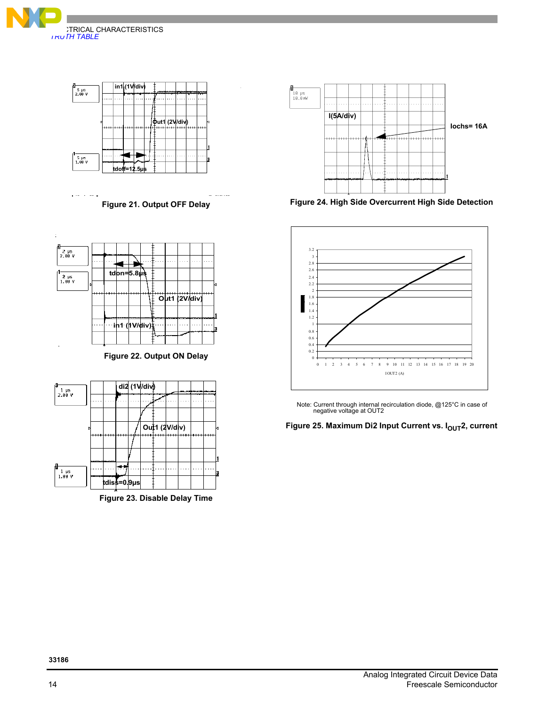



 **Figure 21. Output OFF Delay**



 **Figure 22. Output ON Delay**

<span id="page-13-0"></span>

 **Figure 23. Disable Delay Time**



 **Figure 24. High Side Overcurrent High Side Detection**



Note: Current through internal recirculation diode, @125°C in case of negative voltage at OUT2

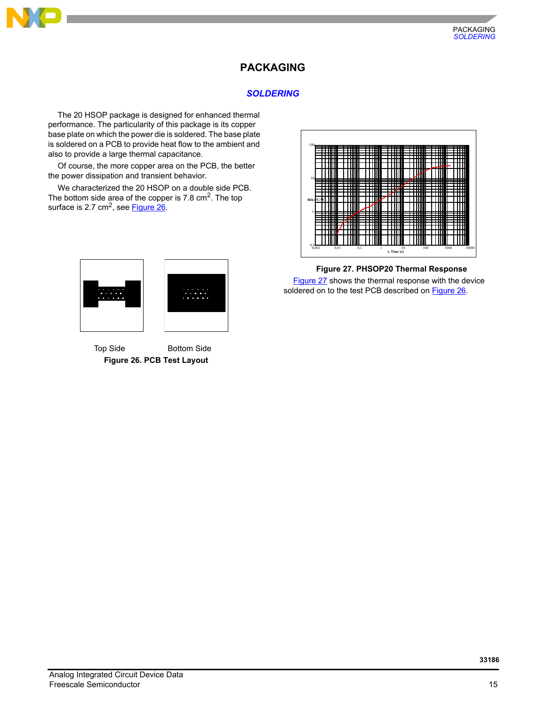

# **PACKAGING**

# *SOLDERING*

The 20 HSOP package is designed for enhanced thermal performance. The particularity of this package is its copper base plate on which the power die is soldered. The base plate is soldered on a PCB to provide heat flow to the ambient and also to provide a large thermal capacitance.

Of course, the more copper area on the PCB, the better the power dissipation and transient behavior.

We characterized the 20 HSOP on a double side PCB. The bottom side area of the copper is  $7.8 \text{ cm}^2$ . The top surface is  $2.7 \text{ cm}^2$ , see **Figure 26**.

<span id="page-14-0"></span>

 **Figure 26. PCB Test Layout** Top Side Bottom Side



 **Figure 27. PHSOP20 Thermal Response**

<span id="page-14-1"></span>[Figure 27](#page-14-1) shows the thermal response with the device soldered on to the test PCB described on **Figure 26**.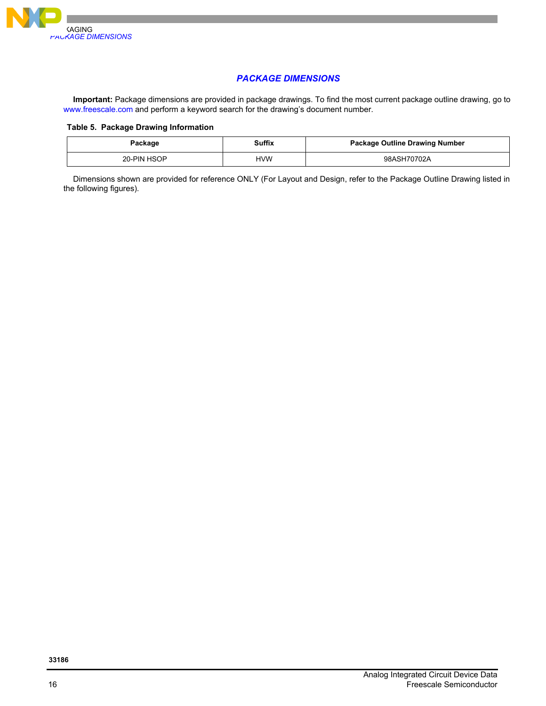

# *PACKAGE DIMENSIONS*

**Important:** Package dimensions are provided in package drawings. To find the most current package outline drawing, go to <www.freescale.com> and perform a keyword search for the drawing's document number.

#### **Table 5. Package Drawing Information**

| Package     | <b>Suffix</b> | <b>Package Outline Drawing Number</b> |
|-------------|---------------|---------------------------------------|
| 20-PIN HSOP | <b>HVW</b>    | 98ASH70702A                           |

Dimensions shown are provided for reference ONLY (For Layout and Design, refer to the Package Outline Drawing listed in the following figures).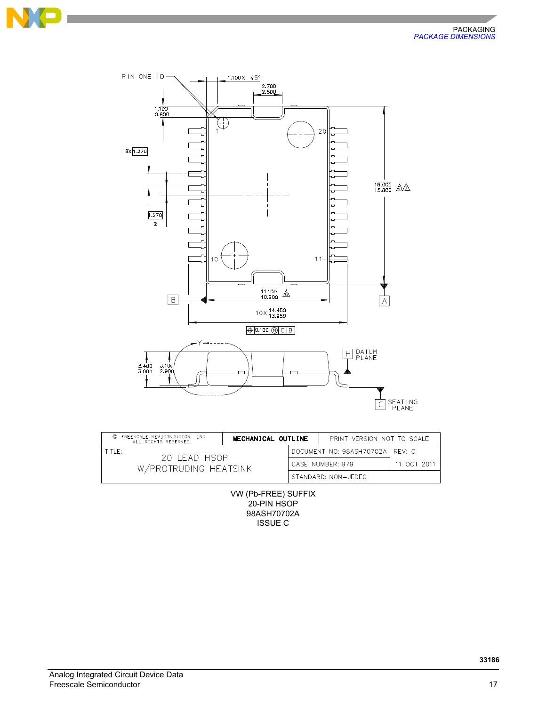





| FREESCALE SEMICONDUCTOR, INC.<br>C)<br>MECHANICAL OUTLINE<br>ALL RIGHTS RESERVED. |  | PRINT VERSION NOT TO SCALE       |             |
|-----------------------------------------------------------------------------------|--|----------------------------------|-------------|
| TITI E:<br>20 LEAD HSOP<br>W/PROTRUDING HEATSINK                                  |  | DOCUMENT NO: 98ASH70702A LREV: C |             |
|                                                                                   |  | CASE NUMBER: 979                 | 11 OCT 2011 |
|                                                                                   |  | STANDARD: NON-JEDEC              |             |

VW (Pb-FREE) SUFFIX 20-PIN HSOP 98ASH70702A ISSUE C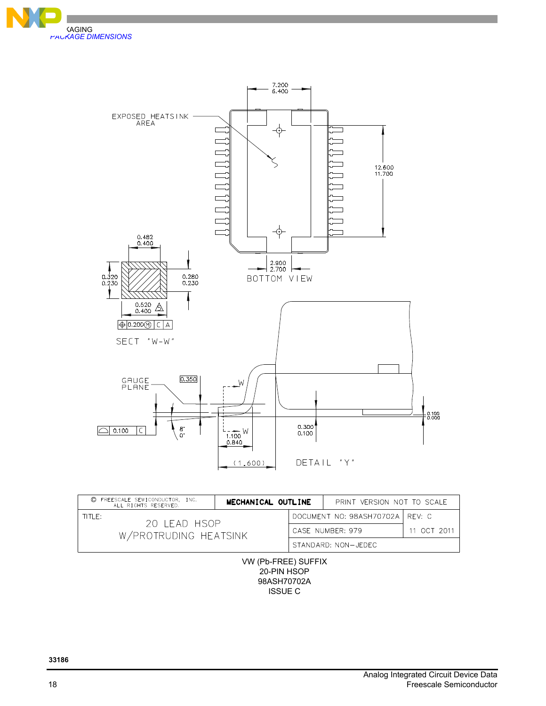



| © FREESCALE SEMICONDUCTOR. INC.<br>ALL RIGHTS RESERVED. | MECHANICAL OUTLINE |  | PRINT VERSION NOT TO SCALE |                                   |
|---------------------------------------------------------|--------------------|--|----------------------------|-----------------------------------|
| TITLE:<br>20 LEAD HSOP                                  |                    |  |                            | DOCUMENT NO: 98ASH70702A   REV: C |
| W/PROTRUDING HEATSINK                                   |                    |  | CASE NUMBER: 979           | 11 OCT 2011                       |
|                                                         |                    |  | STANDARD: NON-JEDEC        |                                   |
|                                                         |                    |  |                            |                                   |

VW (Pb-FREE) SUFFIX 20-PIN HSOP 98ASH70702A ISSUE C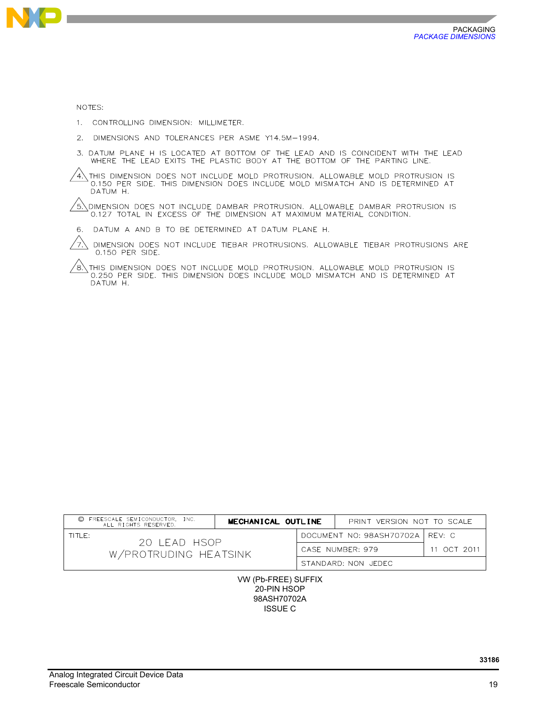

NOTES:

1. CONTROLLING DIMENSION: MILLIMETER.

- 2. DIMENSIONS AND TOLERANCES PER ASME Y14.5M-1994.
- 3. DATUM PLANE H IS LOCATED AT BOTTOM OF THE LEAD AND IS COINCIDENT WITH THE LEAD WHERE THE LEAD EXITS THE PLASTIC BODY AT THE BOTTOM OF THE PARTING LINE.

 $4\sqrt{4}$  this dimension does not include mold protrusion. Allowable mold protrusion is 0.150 PER SIDE. THIS DIMENSION DOES INCLUDE MOLD MISMATCH AND IS DETERMINED AT DATUM H.

 $/$ 5.\dimension does not include dambar protrusion. Allowable dambar protrusion is 0.127 TOTAL IN EXCESS OF THE DIMENSION AT MAXIMUM MATERIAL CONDITION.

6. DATUM A AND B TO BE DETERMINED AT DATUM PLANE H.

DIMENSION DOES NOT INCLUDE TIEBAR PROTRUSIONS. ALLOWABLE TIEBAR PROTRUSIONS ARE 0.150 PER SIDE.

 $\delta$  this dimension does not include mold protrusion. Allowable mold protrusion is 0.250 PER SIDE. THIS DIMENSION DOES INCLUDE MOLD MISMATCH AND IS DETERMINED AT DATUM H.

| FREESCALE SEMICONDUCTOR. INC.<br>ALL RIGHTS RESERVED. | MECHANICAL OUTLINE |  | PRINT VERSION NOT TO SCALE        |             |
|-------------------------------------------------------|--------------------|--|-----------------------------------|-------------|
| TITI E:<br>20 LEAD HSOP                               |                    |  | DOCUMENT NO: 98ASH70702A   REV: C |             |
| W/PROTRUDING HEATSINK                                 |                    |  | CASE NUMBER: 979                  | 11 OCT 2011 |
|                                                       |                    |  | STANDARD: NON JEDEC               |             |

VW (Pb-FREE) SUFFIX 20-PIN HSOP 98ASH70702A ISSUE C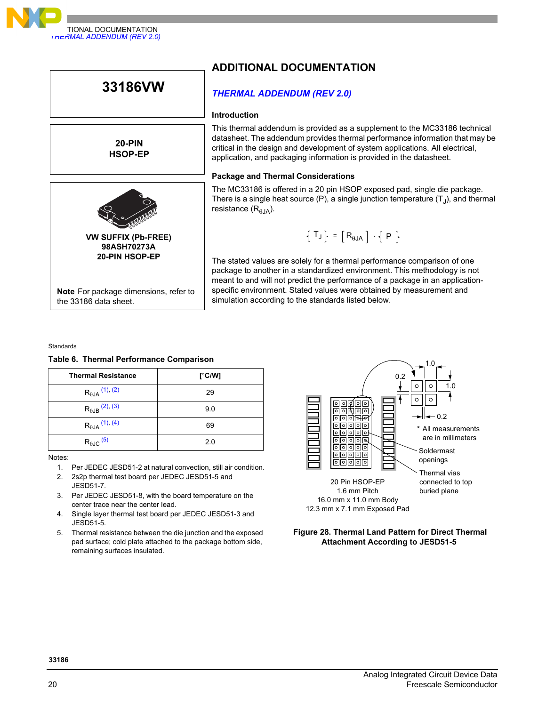



Standards

#### **Table 6. Thermal Performance Comparison**

| <b>Thermal Resistance</b>  | [ $\degree$ C/W] |
|----------------------------|------------------|
| $R_{\theta JA}$ (1), (2)   | 29               |
| $R_{\theta$ JB $(2), (3)$  | 9.0              |
| $R_{\theta JA}$ (1), (4)   | 69               |
| $R_{\theta \text{JC}}$ (5) | 2.0              |

Notes:

- <span id="page-19-0"></span>1. Per JEDEC JESD51-2 at natural convection, still air condition.
- <span id="page-19-1"></span>2. 2s2p thermal test board per JEDEC JESD51-5 and JESD51-7.
- <span id="page-19-2"></span>3. Per JEDEC JESD51-8, with the board temperature on the center trace near the center lead.
- <span id="page-19-3"></span>4. Single layer thermal test board per JEDEC JESD51-3 and JESD51-5.
- <span id="page-19-4"></span>5. Thermal resistance between the die junction and the exposed pad surface; cold plate attached to the package bottom side, remaining surfaces insulated.



#### **Figure 28. Thermal Land Pattern for Direct Thermal Attachment According to JESD51-5**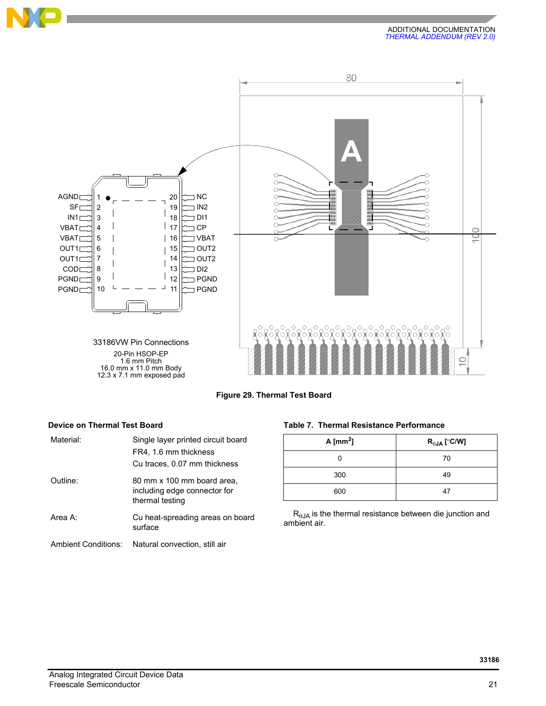





| Material:                  | Single layer printed circuit board<br>FR4, 1.6 mm thickness<br>Cu traces, 0.07 mm thickness |
|----------------------------|---------------------------------------------------------------------------------------------|
| Outline:                   | 80 mm x 100 mm board area.<br>including edge connector for<br>thermal testing               |
| Area $A^T$                 | Cu heat-spreading areas on board<br>surface                                                 |
| <b>Ambient Conditions:</b> | Natural convection, still air                                                               |

# **Device on Thermal Test Board Table 7. Thermal Resistance Performance**

| A $\text{[mm}^2$ ] | $R_{\theta$ JA [ $^{\circ}$ C/W] |
|--------------------|----------------------------------|
|                    | 70                               |
| 300                | 49                               |
| 600                | 47                               |

 $R<sub>0JA</sub>$  is the thermal resistance between die junction and ambient air.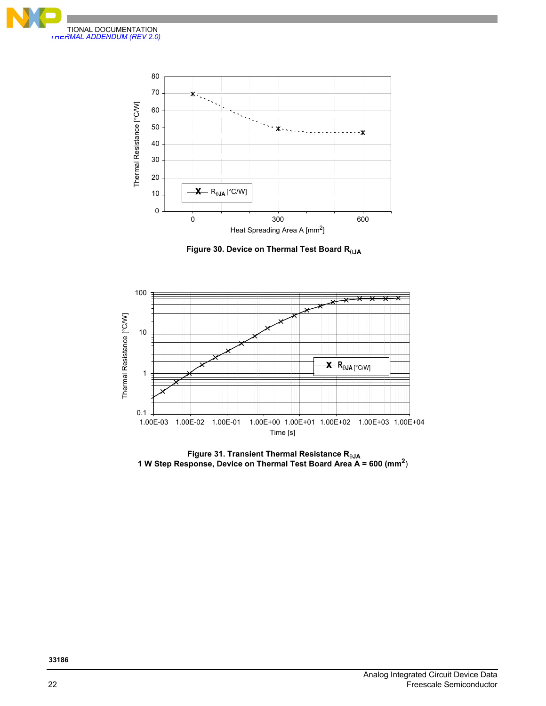



 **Figure 30. Device on Thermal Test Board RJA**



 **Figure 31. Transient Thermal Resistance RJA 1 W Step Response, Device on Thermal Test Board Area A = 600 (mm2**)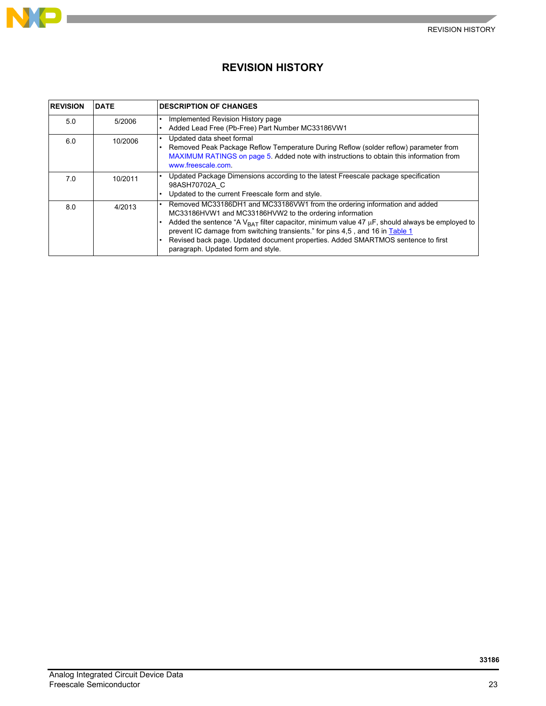

# **REVISION HISTORY**

| <b>REVISION</b> | <b>DATE</b> | <b>DESCRIPTION OF CHANGES</b>                                                                                                                                                                                                                                                                                                                                                                                                                          |
|-----------------|-------------|--------------------------------------------------------------------------------------------------------------------------------------------------------------------------------------------------------------------------------------------------------------------------------------------------------------------------------------------------------------------------------------------------------------------------------------------------------|
| 5.0             | 5/2006      | Implemented Revision History page<br>Added Lead Free (Pb-Free) Part Number MC33186VW1                                                                                                                                                                                                                                                                                                                                                                  |
| 6.0             | 10/2006     | Updated data sheet formal<br>Removed Peak Package Reflow Temperature During Reflow (solder reflow) parameter from<br>MAXIMUM RATINGS on page 5. Added note with instructions to obtain this information from<br>www.freescale.com.                                                                                                                                                                                                                     |
| 7.0             | 10/2011     | Updated Package Dimensions according to the latest Freescale package specification<br>98ASH70702A C<br>Updated to the current Freescale form and style.                                                                                                                                                                                                                                                                                                |
| 8.0             | 4/2013      | Removed MC33186DH1 and MC33186VW1 from the ordering information and added<br>MC33186HVW1 and MC33186HVW2 to the ordering information<br>Added the sentence "A $V_{BAT}$ filter capacitor, minimum value 47 µF, should always be employed to<br>prevent IC damage from switching transients." for pins 4,5, and 16 in Table 1<br>Revised back page. Updated document properties. Added SMARTMOS sentence to first<br>paragraph. Updated form and style. |